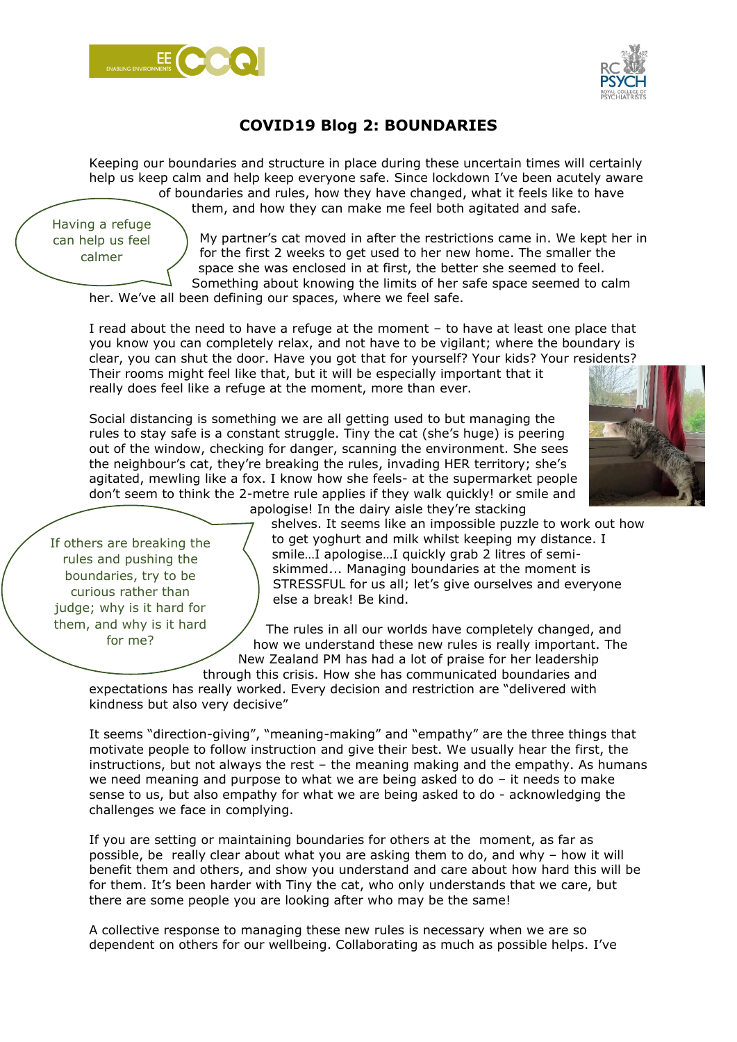



## **COVID19 Blog 2: BOUNDARIES**

Keeping our boundaries and structure in place during these uncertain times will certainly help us keep calm and help keep everyone safe. Since lockdown I've been acutely aware of boundaries and rules, how they have changed, what it feels like to have them, and how they can make me feel both agitated and safe.

Having a refuge can help us feel calmer

My partner's cat moved in after the restrictions came in. We kept her in for the first 2 weeks to get used to her new home. The smaller the space she was enclosed in at first, the better she seemed to feel. Something about knowing the limits of her safe space seemed to calm

her. We've all been defining our spaces, where we feel safe.

I read about the need to have a refuge at the moment – to have at least one place that you know you can completely relax, and not have to be vigilant; where the boundary is clear, you can shut the door. Have you got that for yourself? Your kids? Your residents? Their rooms might feel like that, but it will be especially important that it really does feel like a refuge at the moment, more than ever.

Social distancing is something we are all getting used to but managing the rules to stay safe is a constant struggle. Tiny the cat (she's huge) is peering out of the window, checking for danger, scanning the environment. She sees the neighbour's cat, they're breaking the rules, invading HER territory; she's agitated, mewling like a fox. I know how she feels- at the supermarket people don't seem to think the 2-metre rule applies if they walk quickly! or smile and apologise! In the dairy aisle they're stacking



If others are breaking the rules and pushing the boundaries, try to be curious rather than judge; why is it hard for them, and why is it hard for me?

shelves. It seems like an impossible puzzle to work out how to get yoghurt and milk whilst keeping my distance. I smile…I apologise…I quickly grab 2 litres of semiskimmed... Managing boundaries at the moment is STRESSFUL for us all; let's give ourselves and everyone else a break! Be kind.

The rules in all our worlds have completely changed, and how we understand these new rules is really important. The New Zealand PM has had a lot of praise for her leadership

through this crisis. How she has communicated boundaries and expectations has really worked. Every decision and restriction are "delivered with kindness but also very decisive"

It seems "direction-giving", "meaning-making" and "empathy" are the three things that motivate people to follow instruction and give their best. We usually hear the first, the instructions, but not always the rest – the meaning making and the empathy. As humans we need meaning and purpose to what we are being asked to do – it needs to make sense to us, but also empathy for what we are being asked to do - acknowledging the challenges we face in complying.

If you are setting or maintaining boundaries for others at the moment, as far as possible, be really clear about what you are asking them to do, and why – how it will benefit them and others, and show you understand and care about how hard this will be for them. It's been harder with Tiny the cat, who only understands that we care, but there are some people you are looking after who may be the same!

A collective response to managing these new rules is necessary when we are so dependent on others for our wellbeing. Collaborating as much as possible helps. I've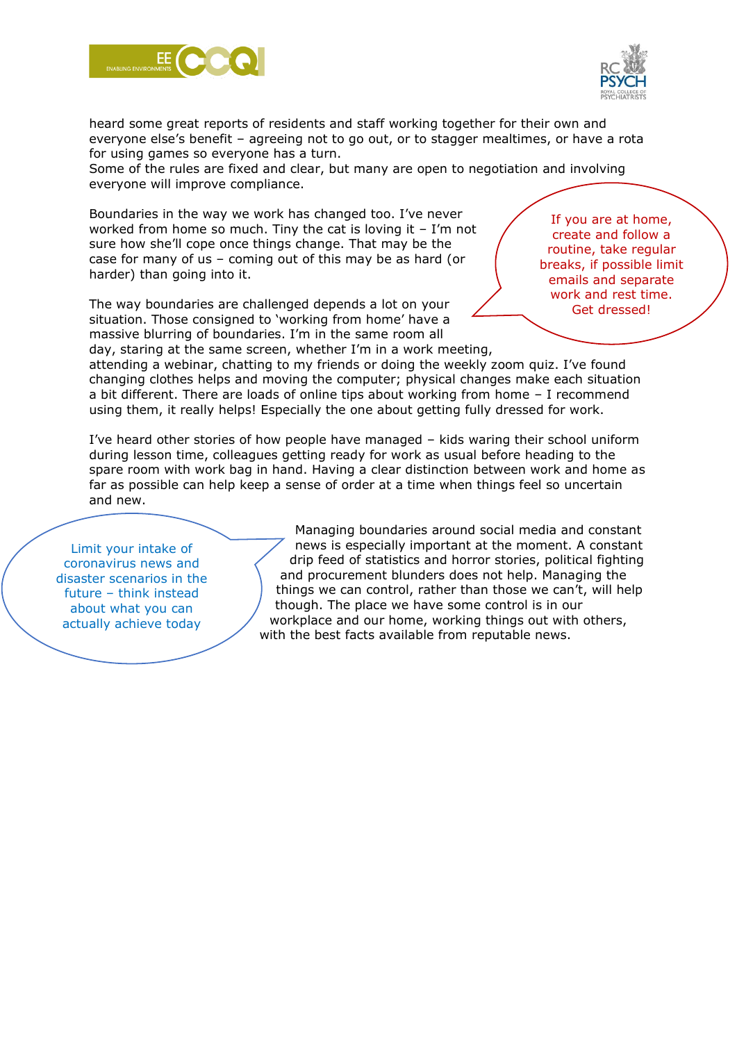



heard some great reports of residents and staff working together for their own and everyone else's benefit – agreeing not to go out, or to stagger mealtimes, or have a rota for using games so everyone has a turn.

Some of the rules are fixed and clear, but many are open to negotiation and involving everyone will improve compliance.

Boundaries in the way we work has changed too. I've never worked from home so much. Tiny the cat is loving it – I'm not sure how she'll cope once things change. That may be the case for many of us – coming out of this may be as hard (or harder) than going into it.

The way boundaries are challenged depends a lot on your situation. Those consigned to 'working from home' have a massive blurring of boundaries. I'm in the same room all day, staring at the same screen, whether I'm in a work meeting,

If you are at home, create and follow a routine, take regular breaks, if possible limit emails and separate work and rest time. Get dressed!

attending a webinar, chatting to my friends or doing the weekly zoom quiz. I've found changing clothes helps and moving the computer; physical changes make each situation a bit different. There are loads of online tips about working from home – I recommend using them, it really helps! Especially the one about getting fully dressed for work.

I've heard other stories of how people have managed – kids waring their school uniform during lesson time, colleagues getting ready for work as usual before heading to the spare room with work bag in hand. Having a clear distinction between work and home as far as possible can help keep a sense of order at a time when things feel so uncertain and new.

Limit your intake of coronavirus news and disaster scenarios in the future – think instead about what you can actually achieve today

Managing boundaries around social media and constant news is especially important at the moment. A constant drip feed of statistics and horror stories, political fighting and procurement blunders does not help. Managing the things we can control, rather than those we can't, will help though. The place we have some control is in our workplace and our home, working things out with others, with the best facts available from reputable news.